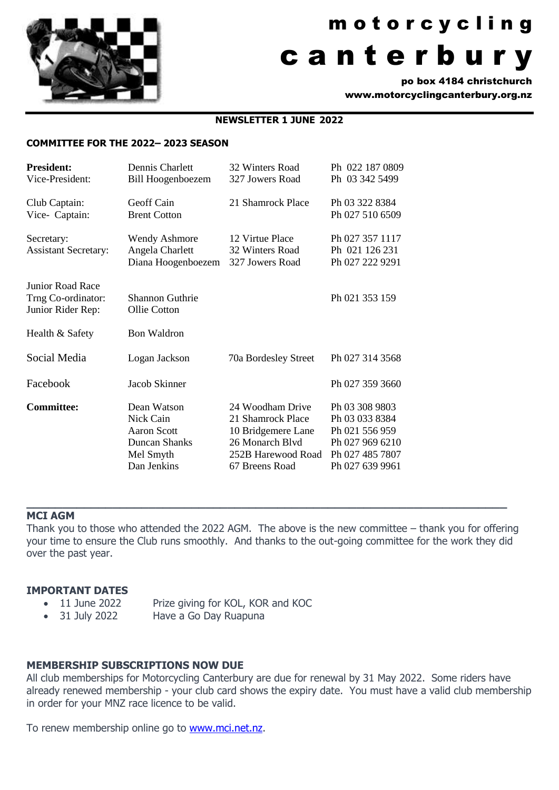

# m o t o r c y c l i n g c a n t e r b u r y

po box 4184 christchurch www.motorcyclingcanterbury.org.nz

## **NEWSLETTER 1 JUNE 2022**

#### **COMMITTEE FOR THE 2022– 2023 SEASON**

| <b>President:</b>           | Dennis Charlett          | 32 Winters Road      | Ph 022 187 0809 |
|-----------------------------|--------------------------|----------------------|-----------------|
| Vice-President:             | <b>Bill Hoogenboezem</b> | 327 Jowers Road      | Ph 03 342 5499  |
| Club Captain:               | Geoff Cain               | 21 Shamrock Place    | Ph 03 322 8384  |
| Vice- Captain:              | <b>Brent Cotton</b>      |                      | Ph 027 510 6509 |
| Secretary:                  | <b>Wendy Ashmore</b>     | 12 Virtue Place      | Ph 027 357 1117 |
| <b>Assistant Secretary:</b> | Angela Charlett          | 32 Winters Road      | Ph 021 126 231  |
|                             | Diana Hoogenboezem       | 327 Jowers Road      | Ph 027 222 9291 |
| Junior Road Race            |                          |                      |                 |
| Trng Co-ordinator:          | <b>Shannon Guthrie</b>   |                      | Ph 021 353 159  |
| Junior Rider Rep:           | Ollie Cotton             |                      |                 |
| Health & Safety             | <b>Bon Waldron</b>       |                      |                 |
| Social Media                | Logan Jackson            | 70a Bordesley Street | Ph 027 314 3568 |
|                             |                          |                      |                 |
| Facebook                    | Jacob Skinner            |                      | Ph 027 359 3660 |
| <b>Committee:</b>           | Dean Watson              | 24 Woodham Drive     | Ph 03 308 9803  |
|                             | Nick Cain                | 21 Shamrock Place    | Ph 03 033 8384  |
|                             | Aaron Scott              | 10 Bridgemere Lane   | Ph 021 556 959  |
|                             | Duncan Shanks            | 26 Monarch Blvd      | Ph 027 969 6210 |
|                             | Mel Smyth                | 252B Harewood Road   | Ph 027 485 7807 |
|                             | Dan Jenkins              | 67 Breens Road       | Ph 027 639 9961 |

#### **MCI AGM**

Thank you to those who attended the 2022 AGM. The above is the new committee – thank you for offering your time to ensure the Club runs smoothly. And thanks to the out-going committee for the work they did over the past year.

**\_\_\_\_\_\_\_\_\_\_\_\_\_\_\_\_\_\_\_\_\_\_\_\_\_\_\_\_\_\_\_\_\_\_\_\_\_\_\_\_\_\_\_\_\_\_\_\_\_\_\_\_\_\_\_\_\_\_\_\_\_\_\_\_\_\_\_**

### **IMPORTANT DATES**

- 11 June 2022 Prize giving for KOL, KOR and KOC
- 31 July 2022 Have a Go Day Ruapuna

### **MEMBERSHIP SUBSCRIPTIONS NOW DUE**

All club memberships for Motorcycling Canterbury are due for renewal by 31 May 2022. Some riders have already renewed membership - your club card shows the expiry date. You must have a valid club membership in order for your MNZ race licence to be valid.

To renew membership online go to [www.mci.net.nz.](http://www.mci.net.nz/)